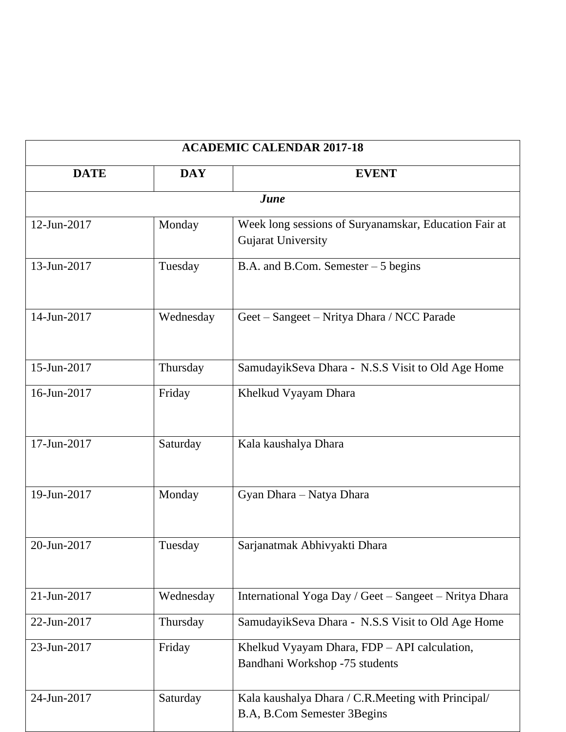| <b>ACADEMIC CALENDAR 2017-18</b> |            |                                                                                    |
|----------------------------------|------------|------------------------------------------------------------------------------------|
| <b>DATE</b>                      | <b>DAY</b> | <b>EVENT</b>                                                                       |
|                                  |            | June                                                                               |
| 12-Jun-2017                      | Monday     | Week long sessions of Suryanamskar, Education Fair at<br><b>Gujarat University</b> |
| 13-Jun-2017                      | Tuesday    | B.A. and B.Com. Semester $-5$ begins                                               |
| 14-Jun-2017                      | Wednesday  | Geet - Sangeet - Nritya Dhara / NCC Parade                                         |
| 15-Jun-2017                      | Thursday   | SamudayikSeva Dhara - N.S.S Visit to Old Age Home                                  |
| 16-Jun-2017                      | Friday     | Khelkud Vyayam Dhara                                                               |
| 17-Jun-2017                      | Saturday   | Kala kaushalya Dhara                                                               |
| 19-Jun-2017                      | Monday     | Gyan Dhara - Natya Dhara                                                           |
| 20-Jun-2017                      | Tuesday    | Sarjanatmak Abhivyakti Dhara                                                       |
| 21-Jun-2017                      | Wednesday  | International Yoga Day / Geet - Sangeet - Nritya Dhara                             |
| 22-Jun-2017                      | Thursday   | SamudayikSeva Dhara - N.S.S Visit to Old Age Home                                  |
| 23-Jun-2017                      | Friday     | Khelkud Vyayam Dhara, FDP – API calculation,<br>Bandhani Workshop -75 students     |
| 24-Jun-2017                      | Saturday   | Kala kaushalya Dhara / C.R. Meeting with Principal/<br>B.A, B.Com Semester 3Begins |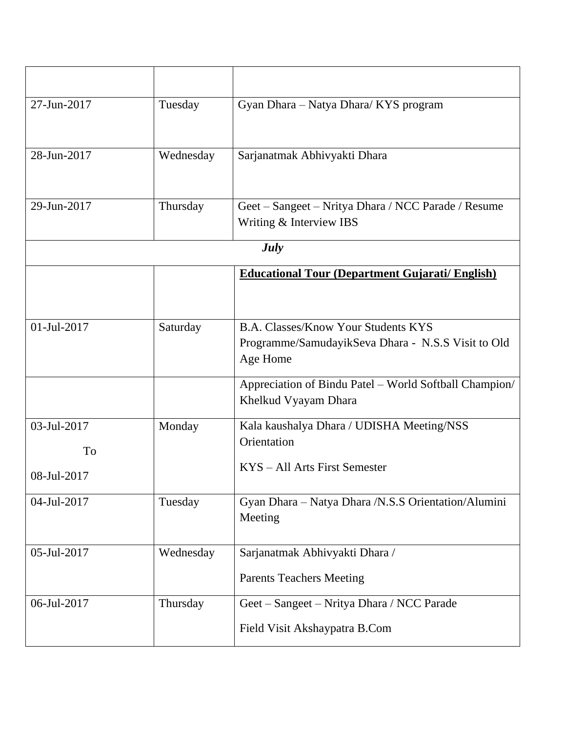| 27-Jun-2017       | Tuesday   | Gyan Dhara - Natya Dhara/ KYS program                                                                        |
|-------------------|-----------|--------------------------------------------------------------------------------------------------------------|
| 28-Jun-2017       | Wednesday | Sarjanatmak Abhivyakti Dhara                                                                                 |
| 29-Jun-2017       | Thursday  | Geet – Sangeet – Nritya Dhara / NCC Parade / Resume<br>Writing & Interview IBS                               |
|                   |           | <b>July</b>                                                                                                  |
|                   |           | <b>Educational Tour (Department Gujarati/English)</b>                                                        |
|                   |           |                                                                                                              |
| 01-Jul-2017       | Saturday  | <b>B.A. Classes/Know Your Students KYS</b><br>Programme/SamudayikSeva Dhara - N.S.S Visit to Old<br>Age Home |
|                   |           | Appreciation of Bindu Patel - World Softball Champion/<br>Khelkud Vyayam Dhara                               |
| 03-Jul-2017<br>To | Monday    | Kala kaushalya Dhara / UDISHA Meeting/NSS<br>Orientation                                                     |
| 08-Jul-2017       |           | KYS – All Arts First Semester                                                                                |
| 04-Jul-2017       | Tuesday   | Gyan Dhara - Natya Dhara / N.S.S Orientation/Alumini<br>Meeting                                              |
| 05-Jul-2017       | Wednesday | Sarjanatmak Abhivyakti Dhara /                                                                               |
|                   |           | <b>Parents Teachers Meeting</b>                                                                              |
| 06-Jul-2017       | Thursday  | Geet - Sangeet - Nritya Dhara / NCC Parade                                                                   |
|                   |           | Field Visit Akshaypatra B.Com                                                                                |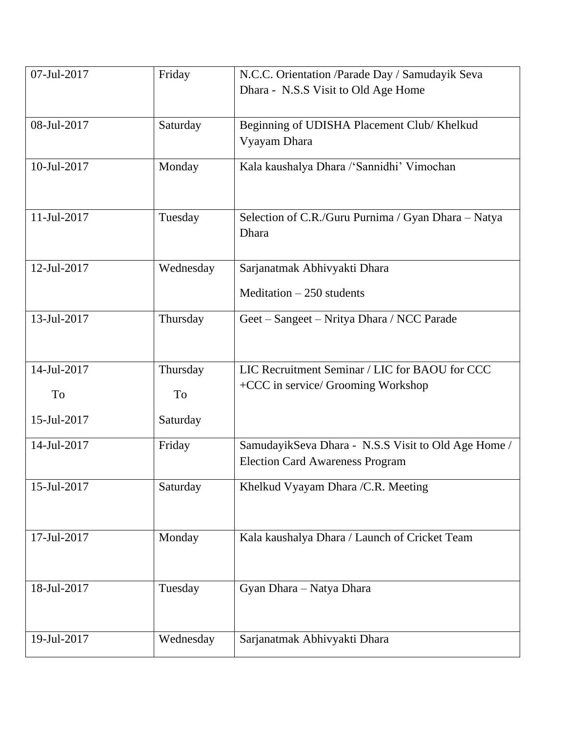| 07-Jul-2017 | Friday    | N.C.C. Orientation /Parade Day / Samudayik Seva     |
|-------------|-----------|-----------------------------------------------------|
|             |           | Dhara - N.S.S Visit to Old Age Home                 |
|             |           |                                                     |
| 08-Jul-2017 | Saturday  | Beginning of UDISHA Placement Club/ Khelkud         |
|             |           | Vyayam Dhara                                        |
| 10-Jul-2017 | Monday    | Kala kaushalya Dhara /'Sannidhi' Vimochan           |
|             |           |                                                     |
|             |           |                                                     |
| 11-Jul-2017 | Tuesday   | Selection of C.R./Guru Purnima / Gyan Dhara - Natya |
|             |           | Dhara                                               |
|             |           |                                                     |
| 12-Jul-2017 | Wednesday | Sarjanatmak Abhivyakti Dhara                        |
|             |           | Meditation $-250$ students                          |
|             |           |                                                     |
| 13-Jul-2017 | Thursday  | Geet - Sangeet - Nritya Dhara / NCC Parade          |
|             |           |                                                     |
| 14-Jul-2017 | Thursday  | LIC Recruitment Seminar / LIC for BAOU for CCC      |
|             |           | +CCC in service/ Grooming Workshop                  |
| To          | To        |                                                     |
| 15-Jul-2017 | Saturday  |                                                     |
| 14-Jul-2017 | Friday    | SamudayikSeva Dhara - N.S.S Visit to Old Age Home / |
|             |           | <b>Election Card Awareness Program</b>              |
|             |           |                                                     |
| 15-Jul-2017 | Saturday  | Khelkud Vyayam Dhara / C.R. Meeting                 |
|             |           |                                                     |
| 17-Jul-2017 |           |                                                     |
|             | Monday    | Kala kaushalya Dhara / Launch of Cricket Team       |
|             |           |                                                     |
| 18-Jul-2017 | Tuesday   | Gyan Dhara - Natya Dhara                            |
|             |           |                                                     |
|             |           |                                                     |
|             |           |                                                     |
| 19-Jul-2017 | Wednesday | Sarjanatmak Abhivyakti Dhara                        |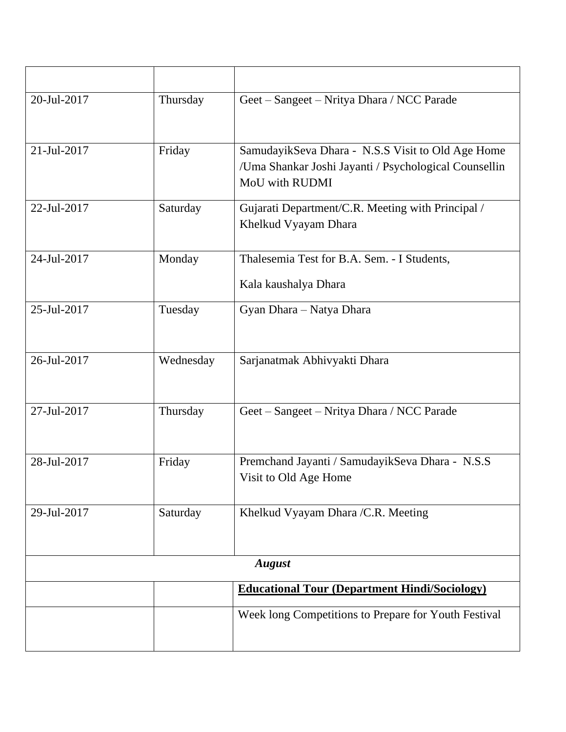| 20-Jul-2017 | Thursday  | Geet - Sangeet - Nritya Dhara / NCC Parade                                                                                   |
|-------------|-----------|------------------------------------------------------------------------------------------------------------------------------|
| 21-Jul-2017 | Friday    | SamudayikSeva Dhara - N.S.S Visit to Old Age Home<br>/Uma Shankar Joshi Jayanti / Psychological Counsellin<br>MoU with RUDMI |
| 22-Jul-2017 | Saturday  | Gujarati Department/C.R. Meeting with Principal /<br>Khelkud Vyayam Dhara                                                    |
| 24-Jul-2017 | Monday    | Thalesemia Test for B.A. Sem. - I Students,                                                                                  |
|             |           | Kala kaushalya Dhara                                                                                                         |
| 25-Jul-2017 | Tuesday   | Gyan Dhara - Natya Dhara                                                                                                     |
| 26-Jul-2017 | Wednesday | Sarjanatmak Abhivyakti Dhara                                                                                                 |
| 27-Jul-2017 | Thursday  | Geet - Sangeet - Nritya Dhara / NCC Parade                                                                                   |
| 28-Jul-2017 | Friday    | Premchand Jayanti / SamudayikSeva Dhara - N.S.S<br>Visit to Old Age Home                                                     |
| 29-Jul-2017 | Saturday  | Khelkud Vyayam Dhara /C.R. Meeting                                                                                           |
|             |           | <b>August</b>                                                                                                                |
|             |           | <b>Educational Tour (Department Hindi/Sociology)</b>                                                                         |
|             |           | Week long Competitions to Prepare for Youth Festival                                                                         |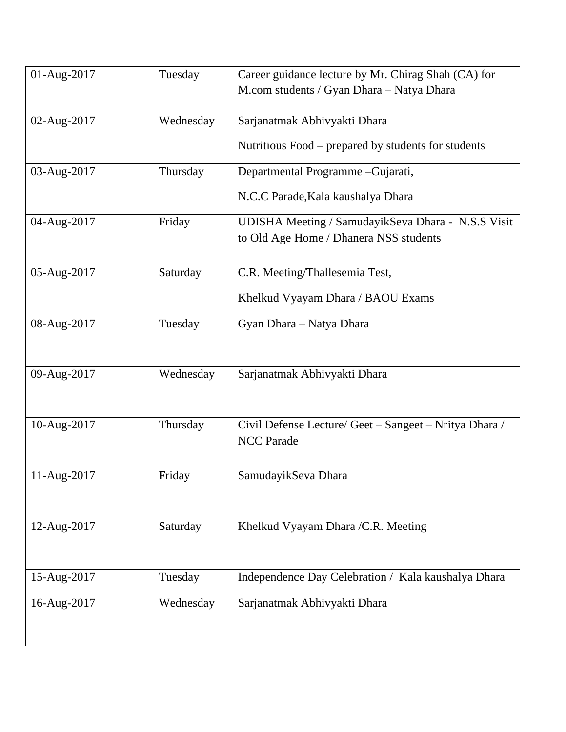| 01-Aug-2017 | Tuesday   | Career guidance lecture by Mr. Chirag Shah (CA) for                                          |
|-------------|-----------|----------------------------------------------------------------------------------------------|
|             |           | M.com students / Gyan Dhara - Natya Dhara                                                    |
| 02-Aug-2017 | Wednesday | Sarjanatmak Abhivyakti Dhara                                                                 |
|             |           | Nutritious Food – prepared by students for students                                          |
| 03-Aug-2017 | Thursday  | Departmental Programme-Gujarati,                                                             |
|             |           | N.C.C Parade, Kala kaushalya Dhara                                                           |
| 04-Aug-2017 | Friday    | UDISHA Meeting / SamudayikSeva Dhara - N.S.S Visit<br>to Old Age Home / Dhanera NSS students |
| 05-Aug-2017 | Saturday  | C.R. Meeting/Thallesemia Test,                                                               |
|             |           | Khelkud Vyayam Dhara / BAOU Exams                                                            |
| 08-Aug-2017 | Tuesday   | Gyan Dhara - Natya Dhara                                                                     |
|             |           |                                                                                              |
| 09-Aug-2017 | Wednesday | Sarjanatmak Abhivyakti Dhara                                                                 |
| 10-Aug-2017 | Thursday  | Civil Defense Lecture/ Geet - Sangeet - Nritya Dhara /                                       |
|             |           | <b>NCC</b> Parade                                                                            |
| 11-Aug-2017 | Friday    | SamudayikSeva Dhara                                                                          |
|             |           |                                                                                              |
| 12-Aug-2017 | Saturday  | Khelkud Vyayam Dhara / C.R. Meeting                                                          |
|             |           |                                                                                              |
| 15-Aug-2017 | Tuesday   | Independence Day Celebration / Kala kaushalya Dhara                                          |
| 16-Aug-2017 | Wednesday | Sarjanatmak Abhivyakti Dhara                                                                 |
|             |           |                                                                                              |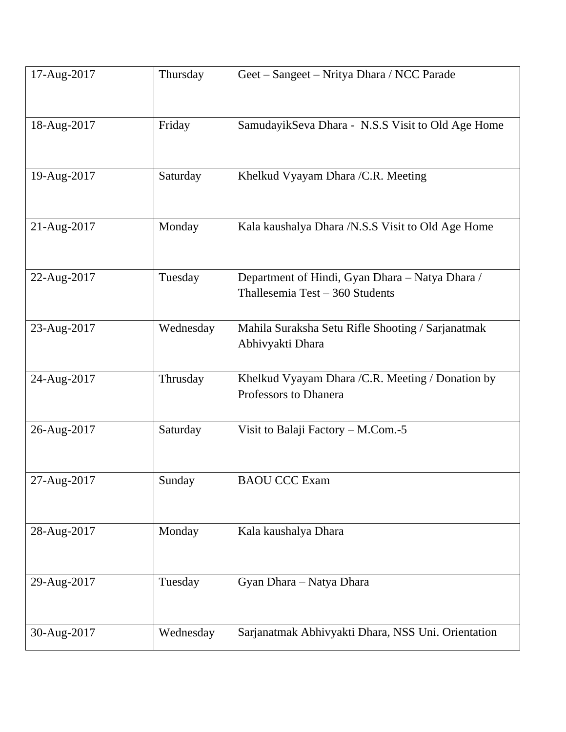| 17-Aug-2017 | Thursday  | Geet - Sangeet - Nritya Dhara / NCC Parade                                         |
|-------------|-----------|------------------------------------------------------------------------------------|
| 18-Aug-2017 | Friday    | SamudayikSeva Dhara - N.S.S Visit to Old Age Home                                  |
| 19-Aug-2017 | Saturday  | Khelkud Vyayam Dhara / C.R. Meeting                                                |
| 21-Aug-2017 | Monday    | Kala kaushalya Dhara /N.S.S Visit to Old Age Home                                  |
| 22-Aug-2017 | Tuesday   | Department of Hindi, Gyan Dhara - Natya Dhara /<br>Thallesemia Test - 360 Students |
| 23-Aug-2017 | Wednesday | Mahila Suraksha Setu Rifle Shooting / Sarjanatmak<br>Abhivyakti Dhara              |
| 24-Aug-2017 | Thrusday  | Khelkud Vyayam Dhara / C.R. Meeting / Donation by<br>Professors to Dhanera         |
| 26-Aug-2017 | Saturday  | Visit to Balaji Factory - M.Com.-5                                                 |
| 27-Aug-2017 | Sunday    | <b>BAOU CCC Exam</b>                                                               |
| 28-Aug-2017 | Monday    | Kala kaushalya Dhara                                                               |
| 29-Aug-2017 | Tuesday   | Gyan Dhara - Natya Dhara                                                           |
| 30-Aug-2017 | Wednesday | Sarjanatmak Abhivyakti Dhara, NSS Uni. Orientation                                 |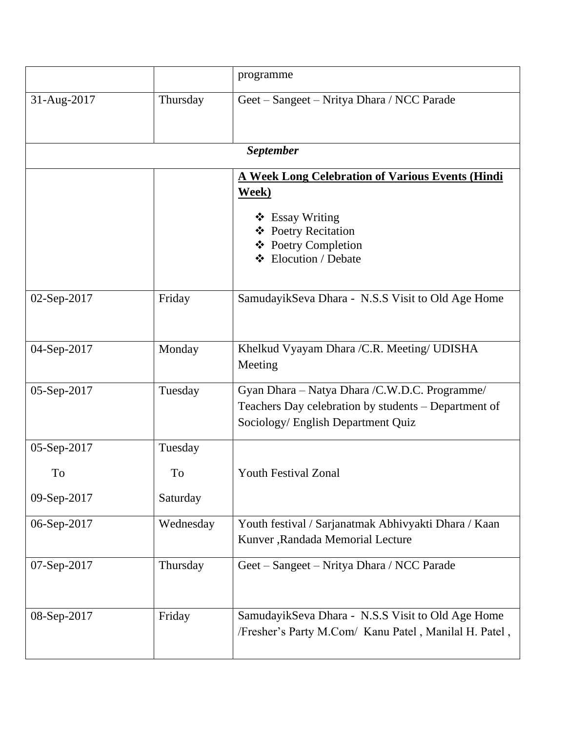|             |           | programme                                                                                                                                   |
|-------------|-----------|---------------------------------------------------------------------------------------------------------------------------------------------|
| 31-Aug-2017 | Thursday  | Geet – Sangeet – Nritya Dhara / NCC Parade                                                                                                  |
|             |           | <b>September</b>                                                                                                                            |
|             |           | <b>A Week Long Celebration of Various Events (Hindi</b><br>Week)                                                                            |
|             |           | $\triangleleft$ Essay Writing<br>❖ Poetry Recitation<br>❖ Poetry Completion<br>❖ Elocution / Debate                                         |
| 02-Sep-2017 | Friday    | SamudayikSeva Dhara - N.S.S Visit to Old Age Home                                                                                           |
| 04-Sep-2017 | Monday    | Khelkud Vyayam Dhara / C.R. Meeting/ UDISHA<br>Meeting                                                                                      |
| 05-Sep-2017 | Tuesday   | Gyan Dhara - Natya Dhara /C.W.D.C. Programme/<br>Teachers Day celebration by students - Department of<br>Sociology/ English Department Quiz |
| 05-Sep-2017 | Tuesday   |                                                                                                                                             |
| To          | To        | <b>Youth Festival Zonal</b>                                                                                                                 |
| 09-Sep-2017 | Saturday  |                                                                                                                                             |
| 06-Sep-2017 | Wednesday | Youth festival / Sarjanatmak Abhivyakti Dhara / Kaan<br>Kunver, Randada Memorial Lecture                                                    |
| 07-Sep-2017 | Thursday  | Geet - Sangeet - Nritya Dhara / NCC Parade                                                                                                  |
| 08-Sep-2017 | Friday    | SamudayikSeva Dhara - N.S.S Visit to Old Age Home<br>/Fresher's Party M.Com/ Kanu Patel, Manilal H. Patel,                                  |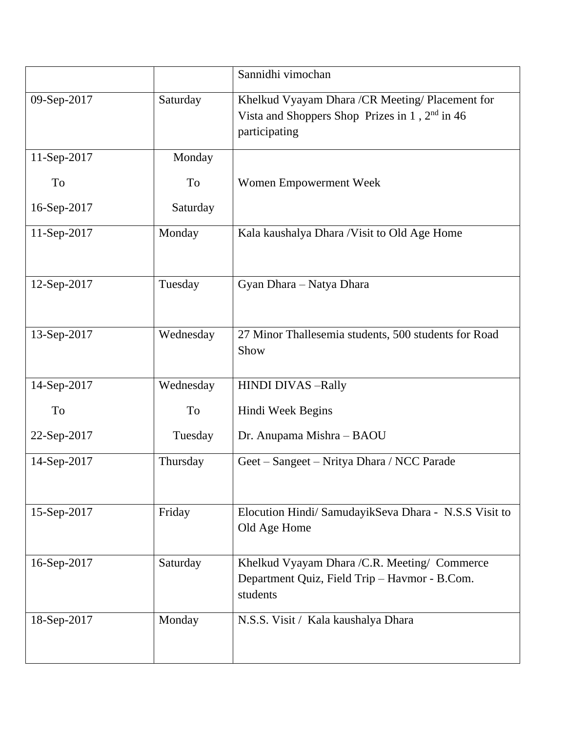|             |           | Sannidhi vimochan                                                                                                        |
|-------------|-----------|--------------------------------------------------------------------------------------------------------------------------|
| 09-Sep-2017 | Saturday  | Khelkud Vyayam Dhara / CR Meeting/ Placement for<br>Vista and Shoppers Shop Prizes in $1$ , $2nd$ in 46<br>participating |
| 11-Sep-2017 | Monday    |                                                                                                                          |
| To          | To        | Women Empowerment Week                                                                                                   |
| 16-Sep-2017 | Saturday  |                                                                                                                          |
| 11-Sep-2017 | Monday    | Kala kaushalya Dhara / Visit to Old Age Home                                                                             |
| 12-Sep-2017 | Tuesday   | Gyan Dhara - Natya Dhara                                                                                                 |
| 13-Sep-2017 | Wednesday | 27 Minor Thallesemia students, 500 students for Road<br>Show                                                             |
| 14-Sep-2017 | Wednesday | <b>HINDI DIVAS-Rally</b>                                                                                                 |
| To          | To        | Hindi Week Begins                                                                                                        |
| 22-Sep-2017 | Tuesday   | Dr. Anupama Mishra - BAOU                                                                                                |
| 14-Sep-2017 | Thursday  | Geet – Sangeet – Nritya Dhara / NCC Parade                                                                               |
| 15-Sep-2017 | Friday    | Elocution Hindi/ SamudayikSeva Dhara - N.S.S Visit to<br>Old Age Home                                                    |
| 16-Sep-2017 | Saturday  | Khelkud Vyayam Dhara / C.R. Meeting/ Commerce<br>Department Quiz, Field Trip - Havmor - B.Com.<br>students               |
| 18-Sep-2017 | Monday    | N.S.S. Visit / Kala kaushalya Dhara                                                                                      |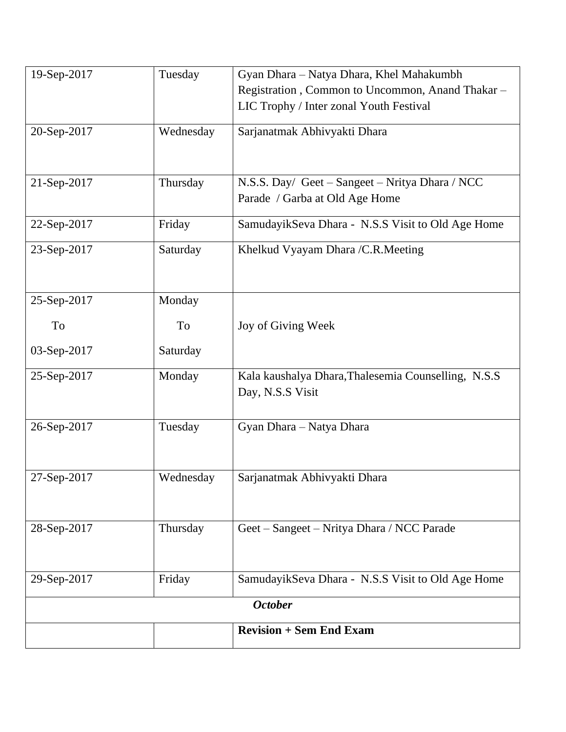| 19-Sep-2017 | Tuesday   | Gyan Dhara - Natya Dhara, Khel Mahakumbh            |
|-------------|-----------|-----------------------------------------------------|
|             |           | Registration, Common to Uncommon, Anand Thakar -    |
|             |           | LIC Trophy / Inter zonal Youth Festival             |
| 20-Sep-2017 | Wednesday | Sarjanatmak Abhivyakti Dhara                        |
|             |           |                                                     |
|             |           |                                                     |
| 21-Sep-2017 | Thursday  | N.S.S. Day/ Geet - Sangeet - Nritya Dhara / NCC     |
|             |           | Parade / Garba at Old Age Home                      |
| 22-Sep-2017 | Friday    | SamudayikSeva Dhara - N.S.S Visit to Old Age Home   |
| 23-Sep-2017 | Saturday  | Khelkud Vyayam Dhara / C.R. Meeting                 |
|             |           |                                                     |
|             |           |                                                     |
| 25-Sep-2017 | Monday    |                                                     |
| To          | To        | Joy of Giving Week                                  |
| 03-Sep-2017 | Saturday  |                                                     |
| 25-Sep-2017 | Monday    | Kala kaushalya Dhara, Thalesemia Counselling, N.S.S |
|             |           | Day, N.S.S Visit                                    |
|             |           |                                                     |
| 26-Sep-2017 | Tuesday   | Gyan Dhara - Natya Dhara                            |
|             |           |                                                     |
|             |           |                                                     |
| 27-Sep-2017 | Wednesday | Sarjanatmak Abhivyakti Dhara                        |
|             |           |                                                     |
| 28-Sep-2017 | Thursday  | Geet – Sangeet – Nritya Dhara / NCC Parade          |
|             |           |                                                     |
|             |           |                                                     |
| 29-Sep-2017 | Friday    | SamudayikSeva Dhara - N.S.S Visit to Old Age Home   |
|             |           | <b>October</b>                                      |
|             |           | <b>Revision + Sem End Exam</b>                      |
|             |           |                                                     |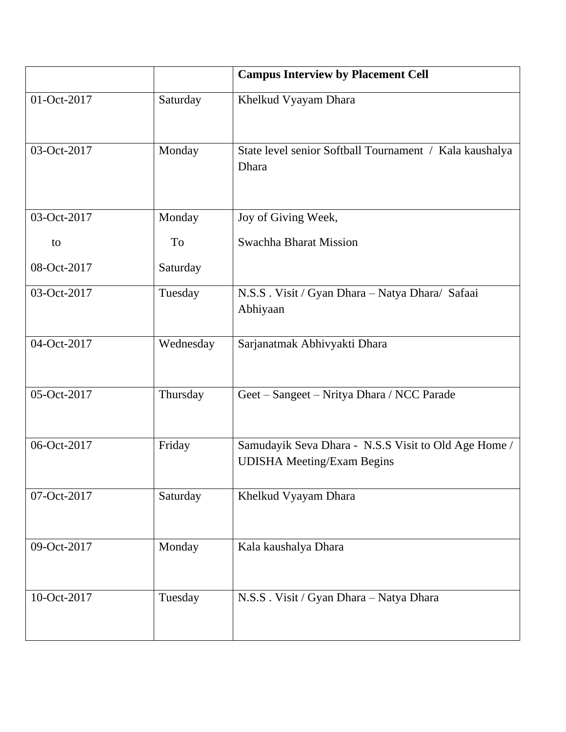|             |           | <b>Campus Interview by Placement Cell</b>                                                 |
|-------------|-----------|-------------------------------------------------------------------------------------------|
| 01-Oct-2017 | Saturday  | Khelkud Vyayam Dhara                                                                      |
| 03-Oct-2017 | Monday    | State level senior Softball Tournament / Kala kaushalya<br>Dhara                          |
| 03-Oct-2017 | Monday    | Joy of Giving Week,                                                                       |
| to          | <b>To</b> | Swachha Bharat Mission                                                                    |
| 08-Oct-2017 | Saturday  |                                                                                           |
| 03-Oct-2017 | Tuesday   | N.S.S. Visit / Gyan Dhara - Natya Dhara/ Safaai<br>Abhiyaan                               |
| 04-Oct-2017 | Wednesday | Sarjanatmak Abhivyakti Dhara                                                              |
| 05-Oct-2017 | Thursday  | Geet - Sangeet - Nritya Dhara / NCC Parade                                                |
| 06-Oct-2017 | Friday    | Samudayik Seva Dhara - N.S.S Visit to Old Age Home /<br><b>UDISHA Meeting/Exam Begins</b> |
| 07-Oct-2017 | Saturday  | Khelkud Vyayam Dhara                                                                      |
| 09-Oct-2017 | Monday    | Kala kaushalya Dhara                                                                      |
| 10-Oct-2017 | Tuesday   | N.S.S. Visit / Gyan Dhara - Natya Dhara                                                   |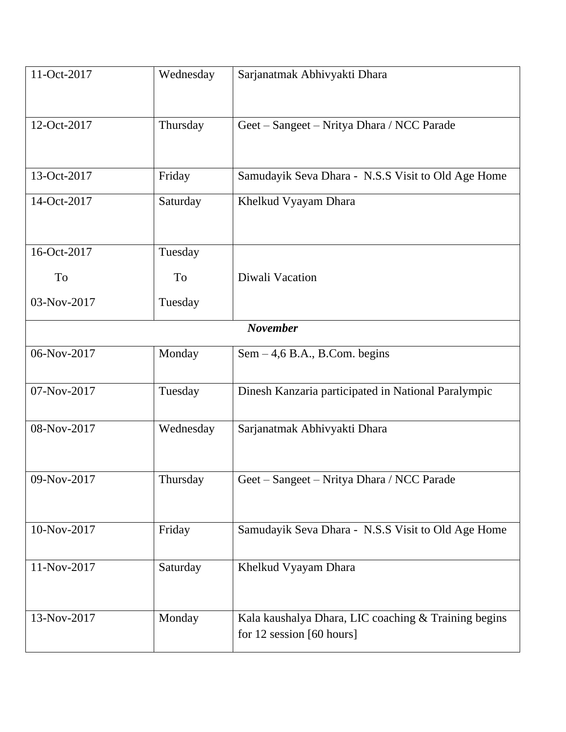| 11-Oct-2017     | Wednesday | Sarjanatmak Abhivyakti Dhara                                                          |  |
|-----------------|-----------|---------------------------------------------------------------------------------------|--|
| 12-Oct-2017     | Thursday  | Geet - Sangeet - Nritya Dhara / NCC Parade                                            |  |
| 13-Oct-2017     | Friday    | Samudayik Seva Dhara - N.S.S Visit to Old Age Home                                    |  |
| 14-Oct-2017     | Saturday  | Khelkud Vyayam Dhara                                                                  |  |
| 16-Oct-2017     | Tuesday   |                                                                                       |  |
| To              | To        | Diwali Vacation                                                                       |  |
| 03-Nov-2017     | Tuesday   |                                                                                       |  |
| <b>November</b> |           |                                                                                       |  |
| 06-Nov-2017     | Monday    | $Sem - 4, 6 B.A., B. Com. begins$                                                     |  |
| 07-Nov-2017     | Tuesday   | Dinesh Kanzaria participated in National Paralympic                                   |  |
| 08-Nov-2017     | Wednesday | Sarjanatmak Abhivyakti Dhara                                                          |  |
| 09-Nov-2017     | Thursday  | Geet - Sangeet - Nritya Dhara / NCC Parade                                            |  |
| 10-Nov-2017     | Friday    | Samudayik Seva Dhara - N.S.S Visit to Old Age Home                                    |  |
| 11-Nov-2017     | Saturday  | Khelkud Vyayam Dhara                                                                  |  |
| 13-Nov-2017     | Monday    | Kala kaushalya Dhara, LIC coaching & Training begins<br>for $12$ session $[60$ hours] |  |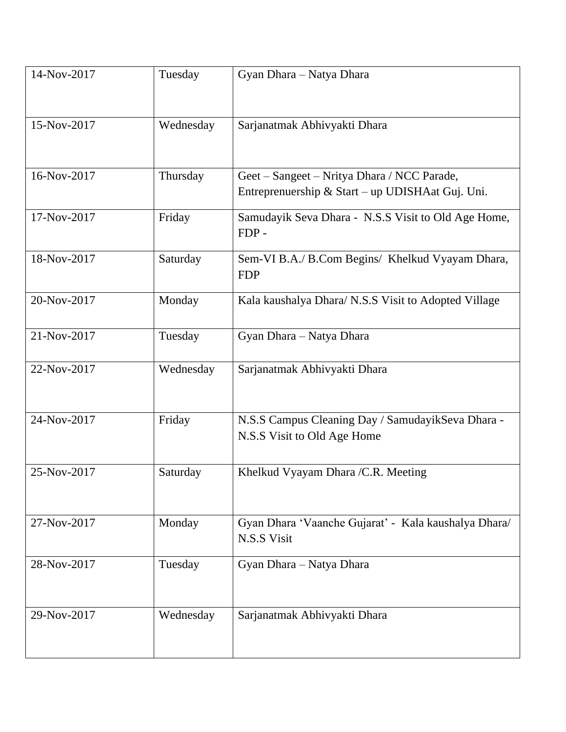| 14-Nov-2017 | Tuesday   | Gyan Dhara - Natya Dhara                                                                        |
|-------------|-----------|-------------------------------------------------------------------------------------------------|
| 15-Nov-2017 | Wednesday | Sarjanatmak Abhivyakti Dhara                                                                    |
| 16-Nov-2017 | Thursday  | Geet – Sangeet – Nritya Dhara / NCC Parade,<br>Entreprenuership & Start – up UDISHAat Guj. Uni. |
| 17-Nov-2017 | Friday    | Samudayik Seva Dhara - N.S.S Visit to Old Age Home,<br>FDP-                                     |
| 18-Nov-2017 | Saturday  | Sem-VI B.A./ B.Com Begins/ Khelkud Vyayam Dhara,<br><b>FDP</b>                                  |
| 20-Nov-2017 | Monday    | Kala kaushalya Dhara/ N.S.S Visit to Adopted Village                                            |
| 21-Nov-2017 | Tuesday   | Gyan Dhara - Natya Dhara                                                                        |
| 22-Nov-2017 | Wednesday | Sarjanatmak Abhivyakti Dhara                                                                    |
| 24-Nov-2017 | Friday    | N.S.S Campus Cleaning Day / SamudayikSeva Dhara -<br>N.S.S Visit to Old Age Home                |
| 25-Nov-2017 | Saturday  | Khelkud Vyayam Dhara / C.R. Meeting                                                             |
| 27-Nov-2017 | Monday    | Gyan Dhara 'Vaanche Gujarat' - Kala kaushalya Dhara/<br>N.S.S Visit                             |
| 28-Nov-2017 | Tuesday   | Gyan Dhara - Natya Dhara                                                                        |
| 29-Nov-2017 | Wednesday | Sarjanatmak Abhivyakti Dhara                                                                    |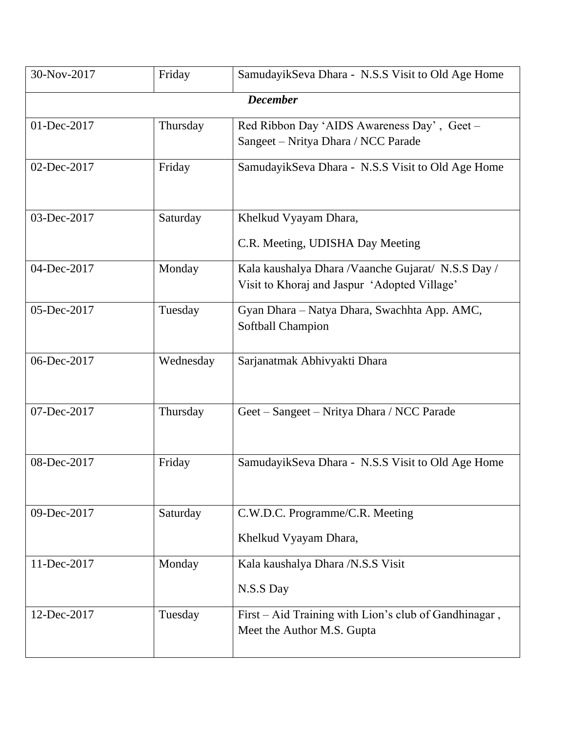| 30-Nov-2017 | Friday    | SamudayikSeva Dhara - N.S.S Visit to Old Age Home                                                   |
|-------------|-----------|-----------------------------------------------------------------------------------------------------|
|             |           | <b>December</b>                                                                                     |
| 01-Dec-2017 | Thursday  | Red Ribbon Day 'AIDS Awareness Day', Geet -<br>Sangeet – Nritya Dhara / NCC Parade                  |
| 02-Dec-2017 | Friday    | SamudayikSeva Dhara - N.S.S Visit to Old Age Home                                                   |
| 03-Dec-2017 | Saturday  | Khelkud Vyayam Dhara,<br>C.R. Meeting, UDISHA Day Meeting                                           |
| 04-Dec-2017 | Monday    | Kala kaushalya Dhara / Vaanche Gujarat/ N.S.S Day /<br>Visit to Khoraj and Jaspur 'Adopted Village' |
| 05-Dec-2017 | Tuesday   | Gyan Dhara - Natya Dhara, Swachhta App. AMC,<br>Softball Champion                                   |
| 06-Dec-2017 | Wednesday | Sarjanatmak Abhivyakti Dhara                                                                        |
| 07-Dec-2017 | Thursday  | Geet – Sangeet – Nritya Dhara / NCC Parade                                                          |
| 08-Dec-2017 | Friday    | SamudayikSeva Dhara - N.S.S Visit to Old Age Home                                                   |
| 09-Dec-2017 | Saturday  | C.W.D.C. Programme/C.R. Meeting<br>Khelkud Vyayam Dhara,                                            |
| 11-Dec-2017 | Monday    | Kala kaushalya Dhara /N.S.S Visit<br>N.S.S Day                                                      |
| 12-Dec-2017 | Tuesday   | First - Aid Training with Lion's club of Gandhinagar,<br>Meet the Author M.S. Gupta                 |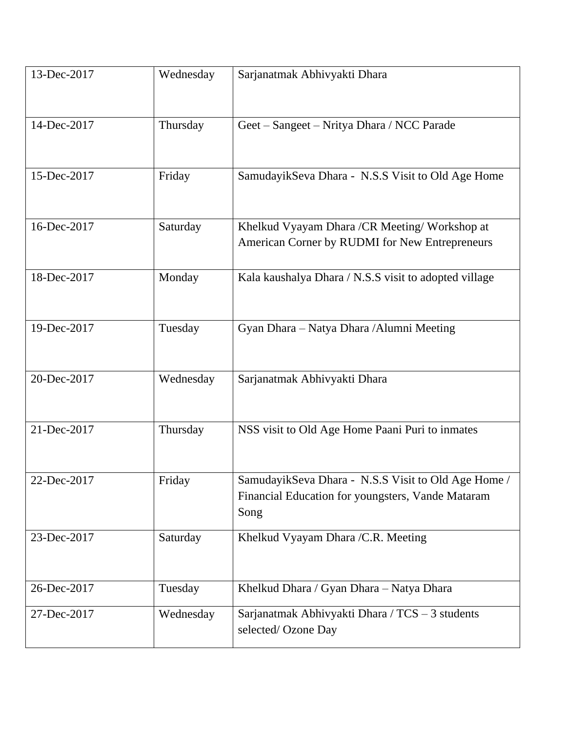| 13-Dec-2017 | Wednesday | Sarjanatmak Abhivyakti Dhara                                                                                     |
|-------------|-----------|------------------------------------------------------------------------------------------------------------------|
| 14-Dec-2017 | Thursday  | Geet - Sangeet - Nritya Dhara / NCC Parade                                                                       |
| 15-Dec-2017 | Friday    | SamudayikSeva Dhara - N.S.S Visit to Old Age Home                                                                |
| 16-Dec-2017 | Saturday  | Khelkud Vyayam Dhara / CR Meeting/ Workshop at<br>American Corner by RUDMI for New Entrepreneurs                 |
| 18-Dec-2017 | Monday    | Kala kaushalya Dhara / N.S.S visit to adopted village                                                            |
| 19-Dec-2017 | Tuesday   | Gyan Dhara - Natya Dhara / Alumni Meeting                                                                        |
| 20-Dec-2017 | Wednesday | Sarjanatmak Abhivyakti Dhara                                                                                     |
| 21-Dec-2017 | Thursday  | NSS visit to Old Age Home Paani Puri to inmates                                                                  |
| 22-Dec-2017 | Friday    | SamudayikSeva Dhara - N.S.S Visit to Old Age Home /<br>Financial Education for youngsters, Vande Mataram<br>Song |
| 23-Dec-2017 | Saturday  | Khelkud Vyayam Dhara / C.R. Meeting                                                                              |
| 26-Dec-2017 | Tuesday   | Khelkud Dhara / Gyan Dhara - Natya Dhara                                                                         |
| 27-Dec-2017 | Wednesday | Sarjanatmak Abhivyakti Dhara / TCS - 3 students<br>selected/Ozone Day                                            |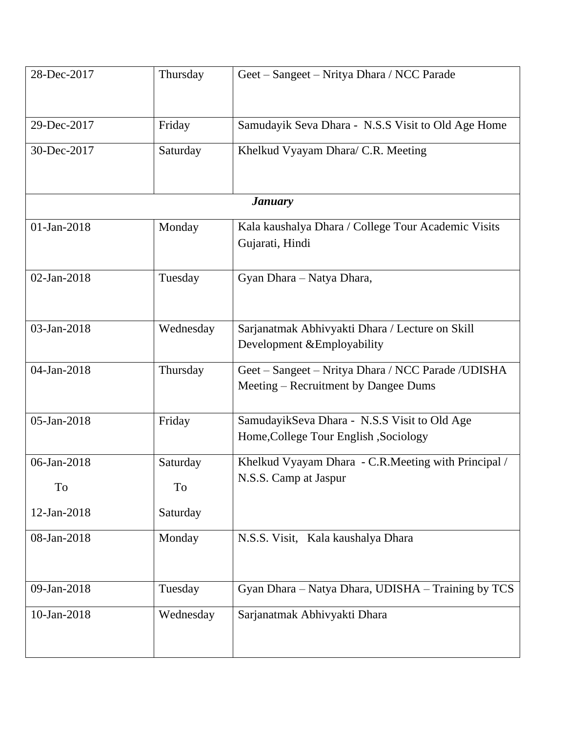| 28-Dec-2017 | Thursday  | Geet - Sangeet - Nritya Dhara / NCC Parade                                                  |
|-------------|-----------|---------------------------------------------------------------------------------------------|
| 29-Dec-2017 | Friday    | Samudayik Seva Dhara - N.S.S Visit to Old Age Home                                          |
| 30-Dec-2017 | Saturday  | Khelkud Vyayam Dhara/ C.R. Meeting                                                          |
|             |           | <b>January</b>                                                                              |
| 01-Jan-2018 | Monday    | Kala kaushalya Dhara / College Tour Academic Visits<br>Gujarati, Hindi                      |
| 02-Jan-2018 | Tuesday   | Gyan Dhara - Natya Dhara,                                                                   |
| 03-Jan-2018 | Wednesday | Sarjanatmak Abhivyakti Dhara / Lecture on Skill<br>Development & Employability              |
| 04-Jan-2018 | Thursday  | Geet - Sangeet - Nritya Dhara / NCC Parade / UDISHA<br>Meeting – Recruitment by Dangee Dums |
| 05-Jan-2018 | Friday    | SamudayikSeva Dhara - N.S.S Visit to Old Age<br>Home, College Tour English, Sociology       |
| 06-Jan-2018 | Saturday  | Khelkud Vyayam Dhara - C.R. Meeting with Principal /<br>N.S.S. Camp at Jaspur               |
| To          | To        |                                                                                             |
| 12-Jan-2018 | Saturday  |                                                                                             |
| 08-Jan-2018 | Monday    | N.S.S. Visit, Kala kaushalya Dhara                                                          |
| 09-Jan-2018 | Tuesday   | Gyan Dhara - Natya Dhara, UDISHA - Training by TCS                                          |
| 10-Jan-2018 | Wednesday | Sarjanatmak Abhivyakti Dhara                                                                |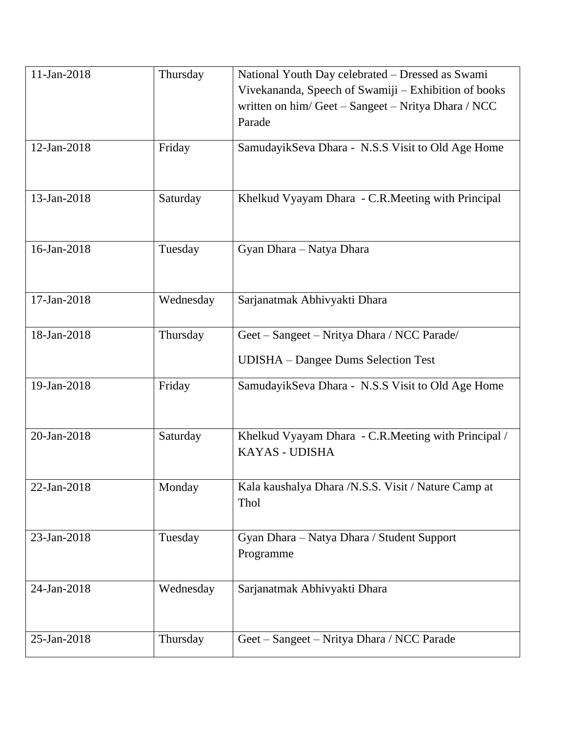| 11-Jan-2018 | Thursday  | National Youth Day celebrated - Dressed as Swami<br>Vivekananda, Speech of Swamiji - Exhibition of books |
|-------------|-----------|----------------------------------------------------------------------------------------------------------|
|             |           | written on him/Geet - Sangeet - Nritya Dhara / NCC<br>Parade                                             |
| 12-Jan-2018 | Friday    | SamudayikSeva Dhara - N.S.S Visit to Old Age Home                                                        |
| 13-Jan-2018 | Saturday  | Khelkud Vyayam Dhara - C.R. Meeting with Principal                                                       |
| 16-Jan-2018 | Tuesday   | Gyan Dhara - Natya Dhara                                                                                 |
| 17-Jan-2018 | Wednesday | Sarjanatmak Abhivyakti Dhara                                                                             |
| 18-Jan-2018 | Thursday  | Geet - Sangeet - Nritya Dhara / NCC Parade/                                                              |
|             |           | <b>UDISHA</b> – Dangee Dums Selection Test                                                               |
| 19-Jan-2018 | Friday    | SamudayikSeva Dhara - N.S.S Visit to Old Age Home                                                        |
| 20-Jan-2018 | Saturday  | Khelkud Vyayam Dhara - C.R.Meeting with Principal /<br><b>KAYAS - UDISHA</b>                             |
| 22-Jan-2018 | Monday    | Kala kaushalya Dhara /N.S.S. Visit / Nature Camp at<br>Thol                                              |
| 23-Jan-2018 | Tuesday   | Gyan Dhara - Natya Dhara / Student Support<br>Programme                                                  |
| 24-Jan-2018 | Wednesday | Sarjanatmak Abhivyakti Dhara                                                                             |
| 25-Jan-2018 | Thursday  | Geet - Sangeet - Nritya Dhara / NCC Parade                                                               |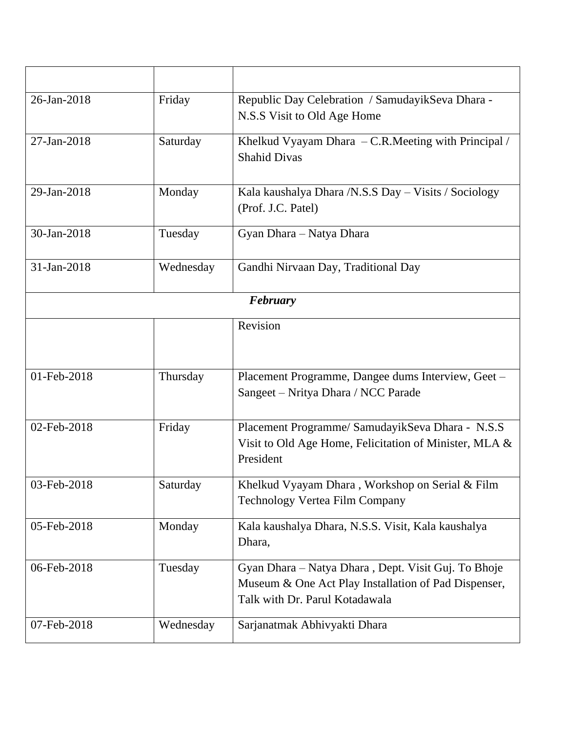| 26-Jan-2018 | Friday    | Republic Day Celebration / Samudayik Seva Dhara -<br>N.S.S Visit to Old Age Home                                                              |  |
|-------------|-----------|-----------------------------------------------------------------------------------------------------------------------------------------------|--|
| 27-Jan-2018 | Saturday  | Khelkud Vyayam Dhara $-C.R.M$ eeting with Principal /<br><b>Shahid Divas</b>                                                                  |  |
| 29-Jan-2018 | Monday    | Kala kaushalya Dhara /N.S.S Day – Visits / Sociology<br>(Prof. J.C. Patel)                                                                    |  |
| 30-Jan-2018 | Tuesday   | Gyan Dhara - Natya Dhara                                                                                                                      |  |
| 31-Jan-2018 | Wednesday | Gandhi Nirvaan Day, Traditional Day                                                                                                           |  |
| February    |           |                                                                                                                                               |  |
|             |           | Revision                                                                                                                                      |  |
| 01-Feb-2018 | Thursday  | Placement Programme, Dangee dums Interview, Geet -<br>Sangeet – Nritya Dhara / NCC Parade                                                     |  |
| 02-Feb-2018 | Friday    | Placement Programme/ SamudayikSeva Dhara - N.S.S<br>Visit to Old Age Home, Felicitation of Minister, MLA &<br>President                       |  |
| 03-Feb-2018 | Saturday  | Khelkud Vyayam Dhara, Workshop on Serial & Film<br><b>Technology Vertea Film Company</b>                                                      |  |
| 05-Feb-2018 | Monday    | Kala kaushalya Dhara, N.S.S. Visit, Kala kaushalya<br>Dhara,                                                                                  |  |
| 06-Feb-2018 | Tuesday   | Gyan Dhara - Natya Dhara, Dept. Visit Guj. To Bhoje<br>Museum & One Act Play Installation of Pad Dispenser,<br>Talk with Dr. Parul Kotadawala |  |
| 07-Feb-2018 | Wednesday | Sarjanatmak Abhivyakti Dhara                                                                                                                  |  |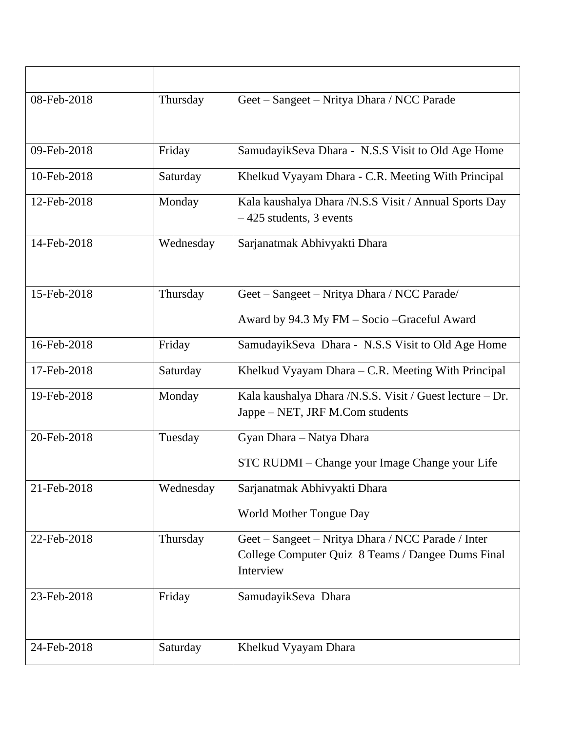| 08-Feb-2018 | Thursday  | Geet – Sangeet – Nritya Dhara / NCC Parade                                                                           |
|-------------|-----------|----------------------------------------------------------------------------------------------------------------------|
| 09-Feb-2018 | Friday    | SamudayikSeva Dhara - N.S.S Visit to Old Age Home                                                                    |
| 10-Feb-2018 | Saturday  | Khelkud Vyayam Dhara - C.R. Meeting With Principal                                                                   |
| 12-Feb-2018 | Monday    | Kala kaushalya Dhara / N.S.S Visit / Annual Sports Day<br>$-425$ students, 3 events                                  |
| 14-Feb-2018 | Wednesday | Sarjanatmak Abhivyakti Dhara                                                                                         |
| 15-Feb-2018 | Thursday  | Geet – Sangeet – Nritya Dhara / NCC Parade/<br>Award by 94.3 My FM - Socio - Graceful Award                          |
| 16-Feb-2018 | Friday    | SamudayikSeva Dhara - N.S.S Visit to Old Age Home                                                                    |
| 17-Feb-2018 | Saturday  | Khelkud Vyayam Dhara – C.R. Meeting With Principal                                                                   |
| 19-Feb-2018 | Monday    | Kala kaushalya Dhara /N.S.S. Visit / Guest lecture - Dr.<br>Jappe – NET, JRF M.Com students                          |
| 20-Feb-2018 | Tuesday   | Gyan Dhara - Natya Dhara                                                                                             |
|             |           | STC RUDMI - Change your Image Change your Life                                                                       |
| 21-Feb-2018 | Wednesday | Sarjanatmak Abhivyakti Dhara                                                                                         |
|             |           | World Mother Tongue Day                                                                                              |
| 22-Feb-2018 | Thursday  | Geet – Sangeet – Nritya Dhara / NCC Parade / Inter<br>College Computer Quiz 8 Teams / Dangee Dums Final<br>Interview |
| 23-Feb-2018 | Friday    | SamudayikSeva Dhara                                                                                                  |
| 24-Feb-2018 | Saturday  | Khelkud Vyayam Dhara                                                                                                 |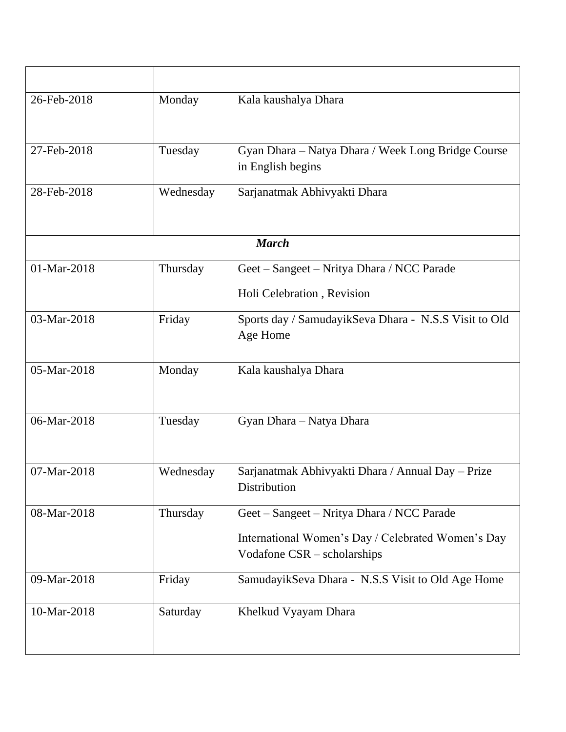| 26-Feb-2018 | Monday    | Kala kaushalya Dhara                                                                                                            |
|-------------|-----------|---------------------------------------------------------------------------------------------------------------------------------|
| 27-Feb-2018 | Tuesday   | Gyan Dhara - Natya Dhara / Week Long Bridge Course<br>in English begins                                                         |
| 28-Feb-2018 | Wednesday | Sarjanatmak Abhivyakti Dhara                                                                                                    |
|             |           | <b>March</b>                                                                                                                    |
| 01-Mar-2018 | Thursday  | Geet - Sangeet - Nritya Dhara / NCC Parade                                                                                      |
|             |           | Holi Celebration, Revision                                                                                                      |
| 03-Mar-2018 | Friday    | Sports day / SamudayikSeva Dhara - N.S.S Visit to Old<br>Age Home                                                               |
| 05-Mar-2018 | Monday    | Kala kaushalya Dhara                                                                                                            |
| 06-Mar-2018 | Tuesday   | Gyan Dhara - Natya Dhara                                                                                                        |
| 07-Mar-2018 | Wednesday | Sarjanatmak Abhivyakti Dhara / Annual Day - Prize<br>Distribution                                                               |
| 08-Mar-2018 | Thursday  | Geet - Sangeet - Nritya Dhara / NCC Parade<br>International Women's Day / Celebrated Women's Day<br>Vodafone CSR – scholarships |
| 09-Mar-2018 | Friday    | SamudayikSeva Dhara - N.S.S Visit to Old Age Home                                                                               |
| 10-Mar-2018 | Saturday  | Khelkud Vyayam Dhara                                                                                                            |